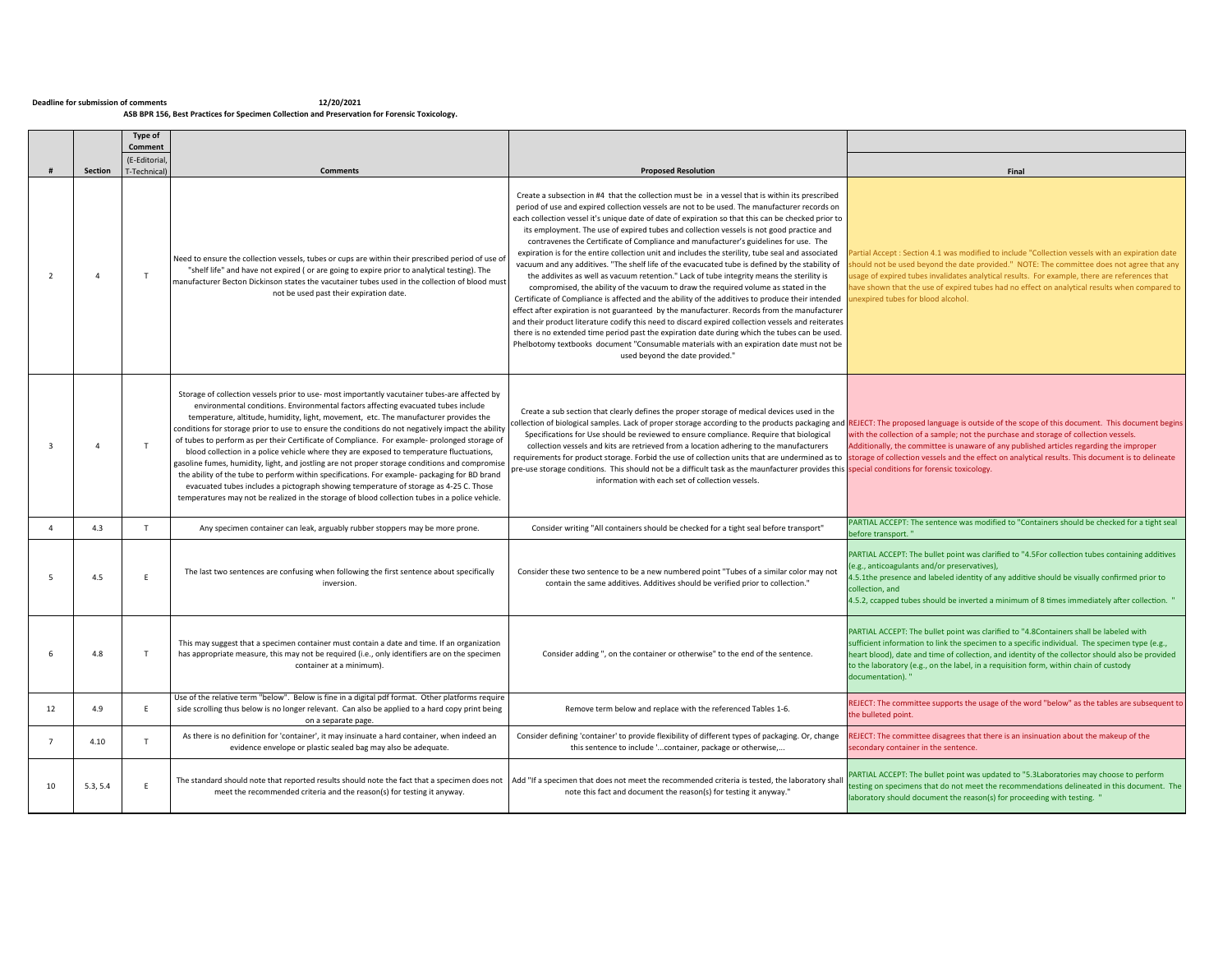## 12/20/2021 בDeadline for submission of comments<br>ASB BPR 156, Best Practices for Specimen Collection and Preservation for Forensic Toxicology.

|                |                | Type of                                 |                                                                                                                                                                                                                                                                                                                                                                                                                                                                                                                                                                                                                                                                                                                                                                                                                                                                                                                                                                            |                                                                                                                                                                                                                                                                                                                                                                                                                                                                                                                                                                                                                                                                                                                                                                                                                                                                                                                                                                                                                                                                                                                                                                                                                                                                                                                                                                                                                                |                                                                                                                                                                                                                                                                                                                                                                                                                                                                                                                                                                                    |
|----------------|----------------|-----------------------------------------|----------------------------------------------------------------------------------------------------------------------------------------------------------------------------------------------------------------------------------------------------------------------------------------------------------------------------------------------------------------------------------------------------------------------------------------------------------------------------------------------------------------------------------------------------------------------------------------------------------------------------------------------------------------------------------------------------------------------------------------------------------------------------------------------------------------------------------------------------------------------------------------------------------------------------------------------------------------------------|--------------------------------------------------------------------------------------------------------------------------------------------------------------------------------------------------------------------------------------------------------------------------------------------------------------------------------------------------------------------------------------------------------------------------------------------------------------------------------------------------------------------------------------------------------------------------------------------------------------------------------------------------------------------------------------------------------------------------------------------------------------------------------------------------------------------------------------------------------------------------------------------------------------------------------------------------------------------------------------------------------------------------------------------------------------------------------------------------------------------------------------------------------------------------------------------------------------------------------------------------------------------------------------------------------------------------------------------------------------------------------------------------------------------------------|------------------------------------------------------------------------------------------------------------------------------------------------------------------------------------------------------------------------------------------------------------------------------------------------------------------------------------------------------------------------------------------------------------------------------------------------------------------------------------------------------------------------------------------------------------------------------------|
|                |                | Comment                                 |                                                                                                                                                                                                                                                                                                                                                                                                                                                                                                                                                                                                                                                                                                                                                                                                                                                                                                                                                                            |                                                                                                                                                                                                                                                                                                                                                                                                                                                                                                                                                                                                                                                                                                                                                                                                                                                                                                                                                                                                                                                                                                                                                                                                                                                                                                                                                                                                                                |                                                                                                                                                                                                                                                                                                                                                                                                                                                                                                                                                                                    |
|                | Section        | E-Editorial<br>T-Technical <sup>®</sup> | <b>Comments</b>                                                                                                                                                                                                                                                                                                                                                                                                                                                                                                                                                                                                                                                                                                                                                                                                                                                                                                                                                            | <b>Proposed Resolution</b>                                                                                                                                                                                                                                                                                                                                                                                                                                                                                                                                                                                                                                                                                                                                                                                                                                                                                                                                                                                                                                                                                                                                                                                                                                                                                                                                                                                                     | Final                                                                                                                                                                                                                                                                                                                                                                                                                                                                                                                                                                              |
| $\overline{z}$ | $\overline{4}$ | T                                       | Need to ensure the collection vessels, tubes or cups are within their prescribed period of use of<br>"shelf life" and have not expired (or are going to expire prior to analytical testing). The<br>manufacturer Becton Dickinson states the vacutainer tubes used in the collection of blood must<br>not be used past their expiration date.                                                                                                                                                                                                                                                                                                                                                                                                                                                                                                                                                                                                                              | Create a subsection in #4 that the collection must be in a vessel that is within its prescribed<br>period of use and expired collection vessels are not to be used. The manufacturer records on<br>each collection vessel it's unique date of date of expiration so that this can be checked prior to<br>its employment. The use of expired tubes and collection vessels is not good practice and<br>contravenes the Certificate of Compliance and manufacturer's guidelines for use. The<br>expiration is for the entire collection unit and includes the sterility, tube seal and associated<br>vacuum and any additives. "The shelf life of the evacucated tube is defined by the stability of<br>the addivites as well as vacuum retention." Lack of tube integrity means the sterility is<br>compromised, the ability of the vacuum to draw the required volume as stated in the<br>Certificate of Compliance is affected and the ability of the additives to produce their intended<br>effect after expiration is not guaranteed by the manufacturer. Records from the manufacturer<br>and their product literature codify this need to discard expired collection vessels and reiterates<br>there is no extended time period past the expiration date during which the tubes can be used.<br>Phelbotomy textbooks document "Consumable materials with an expiration date must not be<br>used beyond the date provided." | artial Accept: Section 4.1 was modified to include "Collection vessels with an expiration date<br>hould not be used beyond the date provided." NOTE: The committee does not agree that any<br>isage of expired tubes invalidates analytical results. For example, there are references that<br>ave shown that the use of expired tubes had no effect on analytical results when compared to<br>nexpired tubes for blood alcohol.                                                                                                                                                   |
| $\mathbf{R}$   | $\Delta$       | T                                       | Storage of collection vessels prior to use- most importantly vacutainer tubes-are affected by<br>environmental conditions. Environmental factors affecting evacuated tubes include<br>temperature, altitude, humidity, light, movement, etc. The manufacturer provides the<br>conditions for storage prior to use to ensure the conditions do not negatively impact the ability<br>of tubes to perform as per their Certificate of Compliance. For example- prolonged storage of<br>blood collection in a police vehicle where they are exposed to temperature fluctuations,<br>gasoline fumes, humidity, light, and jostling are not proper storage conditions and compromise<br>the ability of the tube to perform within specifications. For example- packaging for BD brand<br>evacuated tubes includes a pictograph showing temperature of storage as 4-25 C. Those<br>temperatures may not be realized in the storage of blood collection tubes in a police vehicle. | Create a sub section that clearly defines the proper storage of medical devices used in the<br>Specifications for Use should be reviewed to ensure compliance. Require that biological<br>collection vessels and kits are retrieved from a location adhering to the manufacturers<br>ore-use storage conditions. This should not be a difficult task as the maunfacturer provides this special conditions for forensic toxicology.<br>information with each set of collection vessels.                                                                                                                                                                                                                                                                                                                                                                                                                                                                                                                                                                                                                                                                                                                                                                                                                                                                                                                                         | ollection of biological samples. Lack of proper storage according to the products packaging and REJECT: The proposed language is outside of the scope of this document. This document begins<br>vith the collection of a sample; not the purchase and storage of collection vessels.<br>Additionally, the committee is unaware of any published articles regarding the improper<br>equirements for product storage. Forbid the use of collection units that are undermined as to storage of collection vessels and the effect on analytical results. This document is to delineate |
| 4              | 4.3            | T                                       | Any specimen container can leak, arguably rubber stoppers may be more prone.                                                                                                                                                                                                                                                                                                                                                                                                                                                                                                                                                                                                                                                                                                                                                                                                                                                                                               | Consider writing "All containers should be checked for a tight seal before transport"                                                                                                                                                                                                                                                                                                                                                                                                                                                                                                                                                                                                                                                                                                                                                                                                                                                                                                                                                                                                                                                                                                                                                                                                                                                                                                                                          | PARTIAL ACCEPT: The sentence was modified to "Containers should be checked for a tight seal<br>before transport."                                                                                                                                                                                                                                                                                                                                                                                                                                                                  |
| 5              | 4.5            | F                                       | The last two sentences are confusing when following the first sentence about specifically<br>inversion.                                                                                                                                                                                                                                                                                                                                                                                                                                                                                                                                                                                                                                                                                                                                                                                                                                                                    | Consider these two sentence to be a new numbered point "Tubes of a similar color may not<br>contain the same additives. Additives should be verified prior to collection."                                                                                                                                                                                                                                                                                                                                                                                                                                                                                                                                                                                                                                                                                                                                                                                                                                                                                                                                                                                                                                                                                                                                                                                                                                                     | PARTIAL ACCEPT: The bullet point was clarified to "4.5For collection tubes containing additives<br>e.g., anticoagulants and/or preservatives),<br>4.5.1the presence and labeled identity of any additive should be visually confirmed prior to<br>collection, and<br>4.5.2, ccapped tubes should be inverted a minimum of 8 times immediately after collection. "                                                                                                                                                                                                                  |
| 6              | 4.8            | T                                       | This may suggest that a specimen container must contain a date and time. If an organization<br>has appropriate measure, this may not be required (i.e., only identifiers are on the specimen<br>container at a minimum).                                                                                                                                                                                                                                                                                                                                                                                                                                                                                                                                                                                                                                                                                                                                                   | Consider adding", on the container or otherwise" to the end of the sentence.                                                                                                                                                                                                                                                                                                                                                                                                                                                                                                                                                                                                                                                                                                                                                                                                                                                                                                                                                                                                                                                                                                                                                                                                                                                                                                                                                   | PARTIAL ACCEPT: The bullet point was clarified to "4.8Containers shall be labeled with<br>sufficient information to link the specimen to a specific individual. The specimen type (e.g.,<br>heart blood), date and time of collection, and identity of the collector should also be provided<br>to the laboratory (e.g., on the label, in a requisition form, within chain of custody<br>documentation). "                                                                                                                                                                         |
| 12             | 4.9            | F                                       | Use of the relative term "below". Below is fine in a digital pdf format. Other platforms require<br>side scrolling thus below is no longer relevant. Can also be applied to a hard copy print being<br>on a separate page.                                                                                                                                                                                                                                                                                                                                                                                                                                                                                                                                                                                                                                                                                                                                                 | Remove term below and replace with the referenced Tables 1-6.                                                                                                                                                                                                                                                                                                                                                                                                                                                                                                                                                                                                                                                                                                                                                                                                                                                                                                                                                                                                                                                                                                                                                                                                                                                                                                                                                                  | REJECT: The committee supports the usage of the word "below" as the tables are subsequent to<br>the bulleted point.                                                                                                                                                                                                                                                                                                                                                                                                                                                                |
| $\overline{7}$ | 4.10           | T                                       | As there is no definition for 'container', it may insinuate a hard container, when indeed an<br>evidence envelope or plastic sealed bag may also be adequate.                                                                                                                                                                                                                                                                                                                                                                                                                                                                                                                                                                                                                                                                                                                                                                                                              | Consider defining 'container' to provide flexibility of different types of packaging. Or, change<br>this sentence to include 'container, package or otherwise,                                                                                                                                                                                                                                                                                                                                                                                                                                                                                                                                                                                                                                                                                                                                                                                                                                                                                                                                                                                                                                                                                                                                                                                                                                                                 | REJECT: The committee disagrees that there is an insinuation about the makeup of the<br>secondary container in the sentence.                                                                                                                                                                                                                                                                                                                                                                                                                                                       |
| 10             | 5.3, 5.4       |                                         | The standard should note that reported results should note the fact that a specimen does not<br>meet the recommended criteria and the reason(s) for testing it anyway.                                                                                                                                                                                                                                                                                                                                                                                                                                                                                                                                                                                                                                                                                                                                                                                                     | Add "If a specimen that does not meet the recommended criteria is tested, the laboratory shall<br>note this fact and document the reason(s) for testing it anyway."                                                                                                                                                                                                                                                                                                                                                                                                                                                                                                                                                                                                                                                                                                                                                                                                                                                                                                                                                                                                                                                                                                                                                                                                                                                            | PARTIAL ACCEPT: The bullet point was updated to "5.3Laboratories may choose to perform<br>esting on specimens that do not meet the recommendations delineated in this document. The<br>laboratory should document the reason(s) for proceeding with testing. "                                                                                                                                                                                                                                                                                                                     |